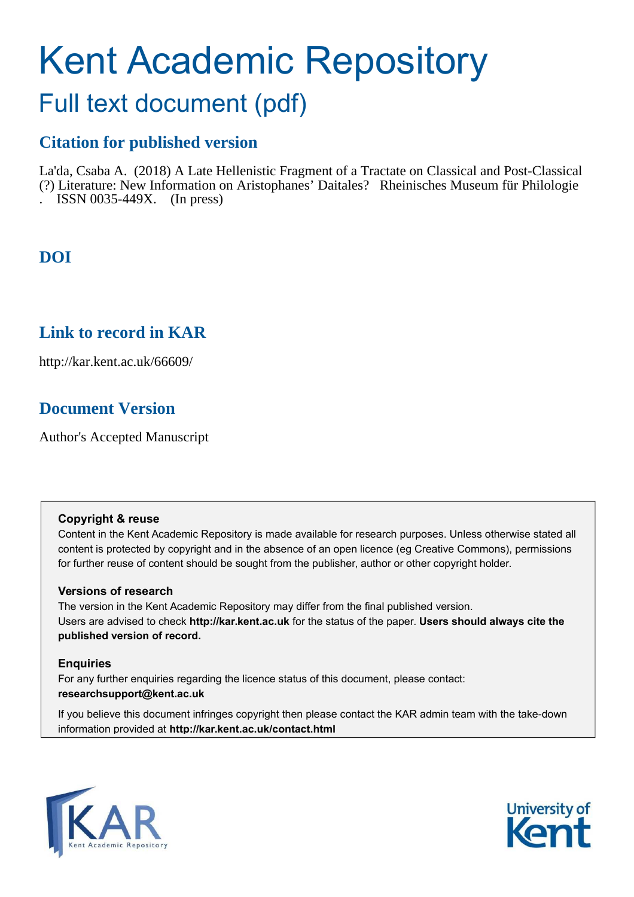# Kent Academic Repository

## Full text document (pdf)

## **Citation for published version**

La'da, Csaba A. (2018) A Late Hellenistic Fragment of a Tractate on Classical and Post-Classical (?) Literature: New Information on Aristophanes' Daitales? Rheinisches Museum für Philologie . ISSN 0035-449X. (In press)

## **DOI**

## **Link to record in KAR**

http://kar.kent.ac.uk/66609/

## **Document Version**

Author's Accepted Manuscript

#### **Copyright & reuse**

Content in the Kent Academic Repository is made available for research purposes. Unless otherwise stated all content is protected by copyright and in the absence of an open licence (eg Creative Commons), permissions for further reuse of content should be sought from the publisher, author or other copyright holder.

#### **Versions of research**

The version in the Kent Academic Repository may differ from the final published version. Users are advised to check **http://kar.kent.ac.uk** for the status of the paper. **Users should always cite the published version of record.**

#### **Enquiries**

For any further enquiries regarding the licence status of this document, please contact: **researchsupport@kent.ac.uk**

If you believe this document infringes copyright then please contact the KAR admin team with the take-down information provided at **http://kar.kent.ac.uk/contact.html**



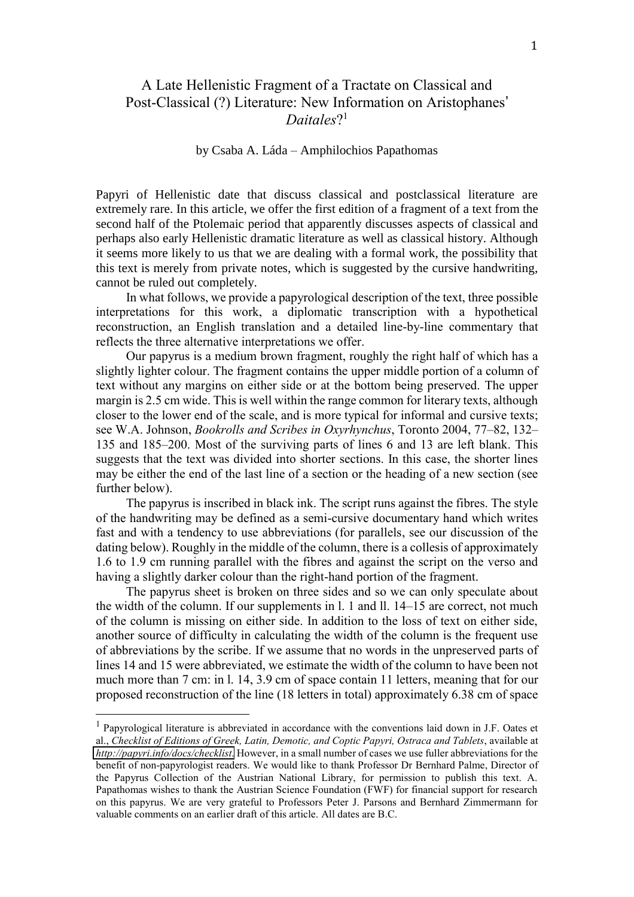#### A Late Hellenistic Fragment of a Tractate on Classical and Post-Classical (?) Literature: New Information on Aristophanes' *Daitales*? 1

#### by Csaba A. Láda – Amphilochios Papathomas

Papyri of Hellenistic date that discuss classical and postclassical literature are extremely rare. In this article, we offer the first edition of a fragment of a text from the second half of the Ptolemaic period that apparently discusses aspects of classical and perhaps also early Hellenistic dramatic literature as well as classical history. Although it seems more likely to us that we are dealing with a formal work, the possibility that this text is merely from private notes, which is suggested by the cursive handwriting, cannot be ruled out completely.

In what follows, we provide a papyrological description of the text, three possible interpretations for this work, a diplomatic transcription with a hypothetical reconstruction, an English translation and a detailed line-by-line commentary that reflects the three alternative interpretations we offer.

Our papyrus is a medium brown fragment, roughly the right half of which has a slightly lighter colour. The fragment contains the upper middle portion of a column of text without any margins on either side or at the bottom being preserved. The upper margin is 2.5 cm wide. This is well within the range common for literary texts, although closer to the lower end of the scale, and is more typical for informal and cursive texts; see W.A. Johnson, *Bookrolls and Scribes in Oxyrhynchus*, Toronto 2004, 77–82, 132– 135 and 185–200. Most of the surviving parts of lines 6 and 13 are left blank. This suggests that the text was divided into shorter sections. In this case, the shorter lines may be either the end of the last line of a section or the heading of a new section (see further below).

The papyrus is inscribed in black ink. The script runs against the fibres. The style of the handwriting may be defined as a semi-cursive documentary hand which writes fast and with a tendency to use abbreviations (for parallels, see our discussion of the dating below). Roughly in the middle of the column, there is a collesis of approximately 1.6 to 1.9 cm running parallel with the fibres and against the script on the verso and having a slightly darker colour than the right-hand portion of the fragment.

The papyrus sheet is broken on three sides and so we can only speculate about the width of the column. If our supplements in l. 1 and ll. 14–15 are correct, not much of the column is missing on either side. In addition to the loss of text on either side, another source of difficulty in calculating the width of the column is the frequent use of abbreviations by the scribe. If we assume that no words in the unpreserved parts of lines 14 and 15 were abbreviated, we estimate the width of the column to have been not much more than 7 cm: in l. 14, 3.9 cm of space contain 11 letters, meaning that for our proposed reconstruction of the line (18 letters in total) approximately 6.38 cm of space

<sup>&</sup>lt;sup>1</sup> Papyrological literature is abbreviated in accordance with the conventions laid down in J.F. Oates et al., *Checklist of Editions of Greek, Latin, Demotic, and Coptic Papyri, Ostraca and Tablets*, available at *<http://papyri.info/docs/checklist>*. However, in a small number of cases we use fuller abbreviations for the benefit of non-papyrologist readers. We would like to thank Professor Dr Bernhard Palme, Director of the Papyrus Collection of the Austrian National Library, for permission to publish this text. A. Papathomas wishes to thank the Austrian Science Foundation (FWF) for financial support for research on this papyrus. We are very grateful to Professors Peter J. Parsons and Bernhard Zimmermann for valuable comments on an earlier draft of this article. All dates are B.C.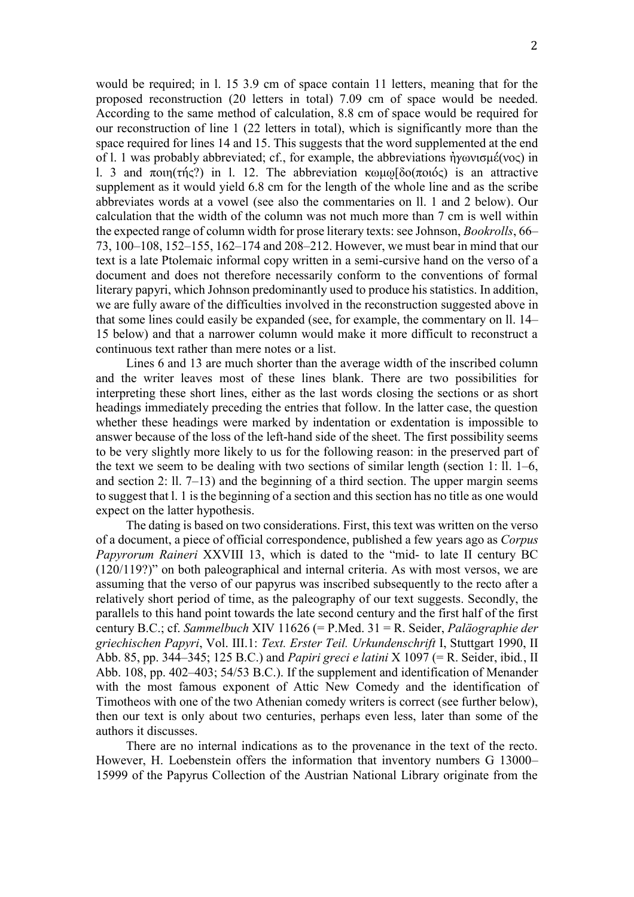2

would be required; in l. 15 3.9 cm of space contain 11 letters, meaning that for the proposed reconstruction (20 letters in total) 7.09 cm of space would be needed. According to the same method of calculation, 8.8 cm of space would be required for our reconstruction of line 1 (22 letters in total), which is significantly more than the space required for lines 14 and 15. This suggests that the word supplemented at the end of l. 1 was probably abbreviated; cf., for example, the abbreviations  $\eta y \omega v \sigma \mu \acute{\epsilon}(v \sigma \zeta)$  in l. 3 and ποιη(τής?) in l. 12. The abbreviation  $\kappa$ ωμω $\delta$ ο(ποιός) is an attractive supplement as it would yield 6.8 cm for the length of the whole line and as the scribe abbreviates words at a vowel (see also the commentaries on ll. 1 and 2 below). Our calculation that the width of the column was not much more than 7 cm is well within the expected range of column width for prose literary texts: see Johnson, *Bookrolls*, 66– 73, 100–108, 152–155, 162–174 and 208–212. However, we must bear in mind that our text is a late Ptolemaic informal copy written in a semi-cursive hand on the verso of a document and does not therefore necessarily conform to the conventions of formal literary papyri, which Johnson predominantly used to produce his statistics. In addition, we are fully aware of the difficulties involved in the reconstruction suggested above in that some lines could easily be expanded (see, for example, the commentary on ll. 14– 15 below) and that a narrower column would make it more difficult to reconstruct a continuous text rather than mere notes or a list.

Lines 6 and 13 are much shorter than the average width of the inscribed column and the writer leaves most of these lines blank. There are two possibilities for interpreting these short lines, either as the last words closing the sections or as short headings immediately preceding the entries that follow. In the latter case, the question whether these headings were marked by indentation or exdentation is impossible to answer because of the loss of the left-hand side of the sheet. The first possibility seems to be very slightly more likely to us for the following reason: in the preserved part of the text we seem to be dealing with two sections of similar length (section 1: ll. 1–6, and section 2: 11.  $7-13$ ) and the beginning of a third section. The upper margin seems to suggest that l. 1 is the beginning of a section and this section has no title as one would expect on the latter hypothesis.

The dating is based on two considerations. First, this text was written on the verso of a document, a piece of official correspondence, published a few years ago as *Corpus Papyrorum Raineri* XXVIII 13, which is dated to the "mid- to late II century BC (120/119?)" on both paleographical and internal criteria. As with most versos, we are assuming that the verso of our papyrus was inscribed subsequently to the recto after a relatively short period of time, as the paleography of our text suggests. Secondly, the parallels to this hand point towards the late second century and the first half of the first century B.C.; cf. *Sammelbuch* XIV 11626 (= P.Med. 31 = R. Seider, *Pal‰ographie der griechischen Papyri*, Vol. III.1: *Text. Erster Teil. Urkundenschrift* I, Stuttgart 1990, II Abb. 85, pp. 344–345; 125 B.C.) and *Papiri greci e latini* X 1097 (= R. Seider, ibid*.*, II Abb. 108, pp. 402–403; 54/53 B.C.). If the supplement and identification of Menander with the most famous exponent of Attic New Comedy and the identification of Timotheos with one of the two Athenian comedy writers is correct (see further below), then our text is only about two centuries, perhaps even less, later than some of the authors it discusses.

There are no internal indications as to the provenance in the text of the recto. However, H. Loebenstein offers the information that inventory numbers G 13000– 15999 of the Papyrus Collection of the Austrian National Library originate from the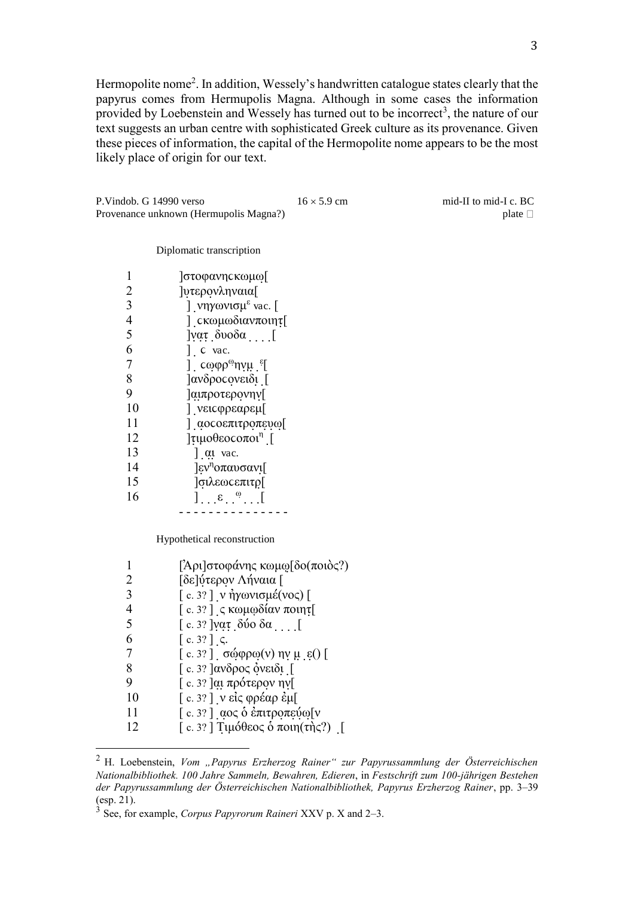Hermopolite nome<sup>2</sup>. In addition, Wessely's handwritten catalogue states clearly that the papyrus comes from Hermupolis Magna. Although in some cases the information provided by Loebenstein and Wessely has turned out to be incorrect<sup>3</sup>, the nature of our text suggests an urban centre with sophisticated Greek culture as its provenance. Given these pieces of information, the capital of the Hermopolite nome appears to be the most likely place of origin for our text.

P. Vindob. G 14990 verso  $16 \times 5.9$  cm mid-II to mid-I c. BC<br>Provenance unknown (Hermupolis Magna?) plate  $\Box$ Provenance unknown (Hermupolis Magna?)

#### Diplomatic transcription

|    | <b>στοφανης κωμω</b> [                                     |
|----|------------------------------------------------------------|
| 2  | <b>[υτερονληναια</b>                                       |
| 3  | ] νηγωνισμ <sup>ε</sup> vac. [                             |
| 4  | [ cκωμωδιανποιητ <sub>[</sub>                              |
| 5  | $\alpha$ <sub>τ.</sub> δυοδα <sub></sub> [                 |
| 6  | $\int$ c vac.                                              |
| 7  | ] cωφρ <sup>ω</sup> ηνμ <sup>ε</sup> [                     |
| 8  | ]ανδρος ονειδι [                                           |
| 9  | ]αιπροτερονην[                                             |
| 10 | ] νεις φρεαρεμ[                                            |
| 11 | ] αος οεπιτροπευω[                                         |
| 12 | $\lceil$ τιμοθεος οποι <sup>η</sup> [                      |
| 13 | $\int$ at vac.                                             |
| 14 | $\left \epsilon v^n \right $ or $\alpha v \sigma \alpha v$ |
| 15 | <b>σιλεως επιτρ[</b>                                       |
| 16 | $\left.\right]$ . $\left.\epsilon\right.\right.^{\omega}$  |
|    |                                                            |

Hypothetical reconstruction

|    | $\lceil \text{Ap} \rceil$ στοφάνης κωμω $\lceil \delta$ ο(ποιὸς?) |
|----|-------------------------------------------------------------------|
|    | [δε]ύτερον Λήναια [                                               |
|    | [c. 3?] ν ήγωνισμέ(νος) [                                         |
|    | [c. 3?] $\zeta$ κωμωδίαν ποιητ[                                   |
| 5  | [ c. 3? ] νατ δύο δα                                              |
| 6  | $\lceil c. 3? \rceil$ $\zeta$ .                                   |
|    | [c. 3?] σώφρω(v) ην μ ε() [                                       |
| 8  | [c. 3? ] ανδρος όνειδι [                                          |
| 9  | [c. 3? ]αι πρότερον ην [                                          |
| 10 | [c. 3?] ν είς φρέαρ έμ[                                           |
| 11 | [c. 3?] αος δ έπιτροπεύω[ν                                        |
| 12 | [c. 3? ] Τιμόθεος ο ποιη(της?) [                                  |

<sup>&</sup>lt;sup>2</sup> H. Loebenstein, *Vom "Papyrus Erzherzog Rainer" zur Papyrussammlung der Österreichischen Nationalbibliothek. 100 Jahre Sammeln, Bewahren, Edieren*, in *Festschrift zum 100-j‰hrigen Bestehen*  der Papyrussammlung der Österreichischen Nationalbibliothek, Papyrus Erzherzog Rainer, pp. 3–39 (esp. 21).

<sup>3</sup> See, for example, *Corpus Papyrorum Raineri* XXV p. X and 2–3.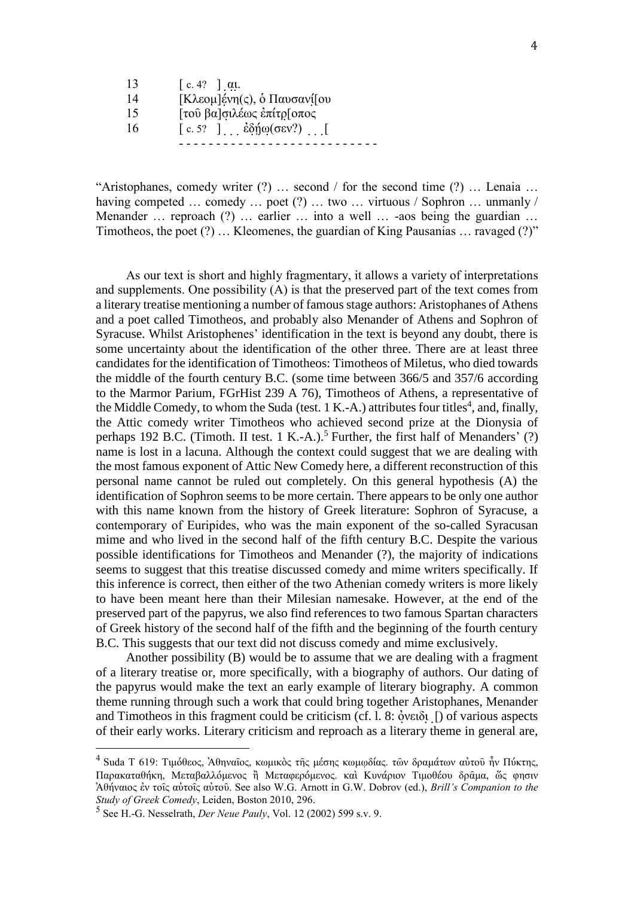|    | $\lceil c. 4? \rceil$ at.           |
|----|-------------------------------------|
| 14 | [Κλεομ]ένη(ς), ο Παυσανί[ου         |
| 15 | [τού βα]σιλέως επίτρ[οπος           |
| 16 | [c. 5? ] $\dot{\epsilon}$ δήω(σεν?) |
|    |                                     |

"Aristophanes, comedy writer  $(?) \dots$  second / for the second time  $(?) \dots$  Lenaia ... having competed  $\ldots$  comedy  $\ldots$  poet (?)  $\ldots$  two  $\ldots$  virtuous / Sophron  $\ldots$  unmanly / Menander  $\ldots$  reproach (?)  $\ldots$  earlier  $\ldots$  into a well  $\ldots$  -aos being the guardian  $\ldots$ Timotheos, the poet (?) ... Kleomenes, the guardian of King Pausanias ... ravaged (?)"

As our text is short and highly fragmentary, it allows a variety of interpretations and supplements. One possibility (A) is that the preserved part of the text comes from a literary treatise mentioning a number of famous stage authors: Aristophanes of Athens and a poet called Timotheos, and probably also Menander of Athens and Sophron of Syracuse. Whilst Aristophenes' identification in the text is beyond any doubt, there is some uncertainty about the identification of the other three. There are at least three candidates for the identification of Timotheos: Timotheos of Miletus, who died towards the middle of the fourth century B.C. (some time between 366/5 and 357/6 according to the Marmor Parium, FGrHist 239 A 76), Timotheos of Athens, a representative of the Middle Comedy, to whom the Suda (test. 1 K.-A.) attributes four titles<sup>4</sup>, and, finally, the Attic comedy writer Timotheos who achieved second prize at the Dionysia of perhaps 192 B.C. (Timoth. II test. 1 K.-A.).<sup>5</sup> Further, the first half of Menanders' (?) name is lost in a lacuna. Although the context could suggest that we are dealing with the most famous exponent of Attic New Comedy here, a different reconstruction of this personal name cannot be ruled out completely. On this general hypothesis (A) the identification of Sophron seems to be more certain. There appears to be only one author with this name known from the history of Greek literature: Sophron of Syracuse, a contemporary of Euripides, who was the main exponent of the so-called Syracusan mime and who lived in the second half of the fifth century B.C. Despite the various possible identifications for Timotheos and Menander (?), the majority of indications seems to suggest that this treatise discussed comedy and mime writers specifically. If this inference is correct, then either of the two Athenian comedy writers is more likely to have been meant here than their Milesian namesake. However, at the end of the preserved part of the papyrus, we also find references to two famous Spartan characters of Greek history of the second half of the fifth and the beginning of the fourth century B.C. This suggests that our text did not discuss comedy and mime exclusively.

Another possibility (B) would be to assume that we are dealing with a fragment of a literary treatise or, more specifically, with a biography of authors. Our dating of the papyrus would make the text an early example of literary biography. A common theme running through such a work that could bring together Aristophanes, Menander and Timotheos in this fragment could be criticism (cf. l. 8:  $\delta$ νειδι [) of various aspects of their early works. Literary criticism and reproach as a literary theme in general are,

<sup>&</sup>lt;sup>4</sup> Suda T 619: Τιμόθεος, Ἀθηναῖος, κωμικὸς τῆς μέσης κωμφδίας. τῶν δραμάτων αὐτοῦ ἦν Πύκτης, Παρακαταθήκη, Μεταβαλλόμενος ἢ Μεταφερόμενος. και Κυνάριον Τιμοθέου δραμα, ώς φησιν  $\lambda$ θήναιος έν τοις αύτοις αύτου. See also W.G. Arnott in G.W. Dobrov (ed.), *Brill's Companion to the Study of Greek Comedy*, Leiden, Boston 2010, 296.

<sup>5</sup> See H.-G. Nesselrath, *Der Neue Pauly*, Vol. 12 (2002) 599 s.v. 9.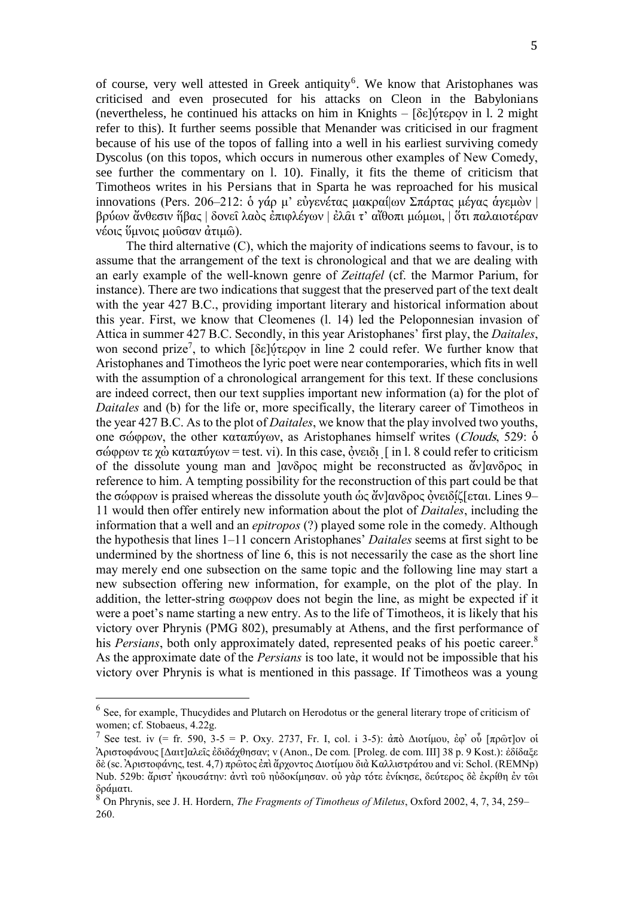of course, very well attested in Greek antiquity<sup>6</sup>. We know that Aristophanes was criticised and even prosecuted for his attacks on Cleon in the Babylonians (nevertheless, he continued his attacks on him in Knights –  $\delta \epsilon$ ]ύτερον in l. 2 might refer to this). It further seems possible that Menander was criticised in our fragment because of his use of the topos of falling into a well in his earliest surviving comedy Dyscolus (on this topos, which occurs in numerous other examples of New Comedy, see further the commentary on l. 10). Finally, it fits the theme of criticism that Timotheos writes in his Persians that in Sparta he was reproached for his musical innovations (Pers. 206–212: δ γάρ μ' εὐγενέτας μακραί ων Σπάρτας μέγας ἁγεμὼν | βρύων ἄνθεσιν ἥβας | δονεῖ λαὸς ἐπιφλέγων | ἐλα̂ι τ' αἴθοπι μώμωι, | ὅτι παλαιοτέραν νέοις ύμνοις μούσαν άτιμω).

The third alternative (C), which the majority of indications seems to favour, is to assume that the arrangement of the text is chronological and that we are dealing with an early example of the well-known genre of *Zeittafel* (cf. the Marmor Parium, for instance). There are two indications that suggest that the preserved part of the text dealt with the year 427 B.C., providing important literary and historical information about this year. First, we know that Cleomenes (l. 14) led the Peloponnesian invasion of Attica in summer 427 B.C. Secondly, in this year Aristophanes' first play, the *Daitales*, won second prize<sup>7</sup>, to which [δε] νίτερον in line 2 could refer. We further know that Aristophanes and Timotheos the lyric poet were near contemporaries, which fits in well with the assumption of a chronological arrangement for this text. If these conclusions are indeed correct, then our text supplies important new information (a) for the plot of *Daitales* and (b) for the life or, more specifically, the literary career of Timotheos in the year 427 B.C. As to the plot of *Daitales*, we know that the play involved two youths, one σώφρων, the other καταπύγων, as Aristophanes himself writes (Clouds, 529: δ  $\sigma\omega$  $\varphi\omega$  τε  $\chi\dot{\omega}$  καταπύγ $\omega$  = test. vi). In this case,  $\dot{\varphi}$ νειδι [ in l. 8 could refer to criticism of the dissolute young man and  $\frac{\partial w}{\partial q}$  might be reconstructed as  $\frac{\partial w}{\partial q}$   $\frac{\partial w}{\partial q}$  in reference to him. A tempting possibility for the reconstruction of this part could be that the σώφρων is praised whereas the dissolute youth ως ἄν|ανδρος ὀνειδίζ[εται. Lines 9– 11 would then offer entirely new information about the plot of *Daitales*, including the information that a well and an *epitropos* (?) played some role in the comedy. Although the hypothesis that lines 1–11 concern Aristophanes' *Daitales* seems at first sight to be undermined by the shortness of line 6, this is not necessarily the case as the short line may merely end one subsection on the same topic and the following line may start a new subsection offering new information, for example, on the plot of the play. In addition, the letter-string  $\sigma \omega \varphi \rho \omega v$  does not begin the line, as might be expected if it were a poet's name starting a new entry. As to the life of Timotheos, it is likely that his victory over Phrynis (PMG 802), presumably at Athens, and the first performance of his *Persians*, both only approximately dated, represented peaks of his poetic career.<sup>8</sup> As the approximate date of the *Persians* is too late, it would not be impossible that his victory over Phrynis is what is mentioned in this passage. If Timotheos was a young

<sup>&</sup>lt;sup>6</sup> See, for example, Thucydides and Plutarch on Herodotus or the general literary trope of criticism of women; cf. Stobaeus, 4.22g.

<sup>7</sup> See test. iv (= fr. 590, 3-5 = P. Oxy. 2737, Fr. I, col. i 3-5):  $\frac{\partial \pi}{\partial \lambda}$  Διοτίμου, έφ' ού [πρῶτ]ον οί Αριστοφάνους *[Δαιτ]αλεῖς ἐδιδάχθησαν*; v (Anon., De com. [Proleg. de com. III] 38 p. 9 Kost.): ἐδίδαξε δὲ (sc. Ἀριστοφάνης, test. 4,7) πρῶτος ἐπὶ ἄρχοντος Διοτίμου διὰ Καλλιστράτου and vi: Schol. (REMNp) Nub. 529b: ἄριστ' ήκουσάτην: άντι του ηὐδοκίμησαν. οὐ γὰρ τότε ἐνίκησε, δεύτερος δε ἐκρίθη ἐν τωι δράματι.

<sup>8</sup> On Phrynis, see J. H. Hordern, *The Fragments of Timotheus of Miletus*, Oxford 2002, 4, 7, 34, 259– 260.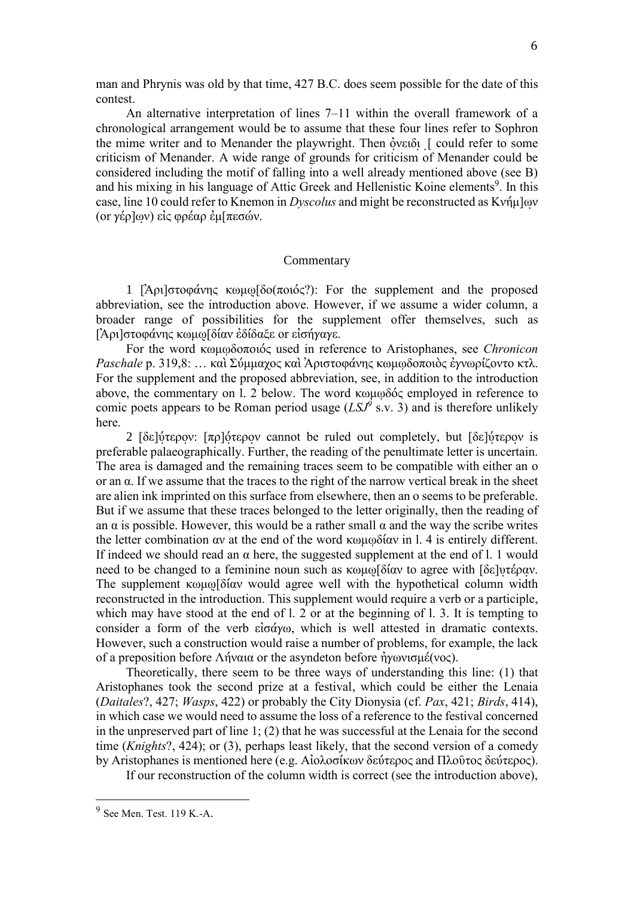man and Phrynis was old by that time, 427 B.C. does seem possible for the date of this contest.

An alternative interpretation of lines 7–11 within the overall framework of a chronological arrangement would be to assume that these four lines refer to Sophron the mime writer and to Menander the playwright. Then  $\delta$  vertically 1 could refer to some criticism of Menander. A wide range of grounds for criticism of Menander could be considered including the motif of falling into a well already mentioned above (see B) and his mixing in his language of Attic Greek and Hellenistic Koine elements<sup>9</sup>. In this case, line 10 could refer to Knemon in *Dyscolus* and might be reconstructed as Κνήμ]ων (or  $\gamma \xi$ ρ]ων) είς φρέαρ έμ[πεσών.

#### Commentary

1 [Άρι] στοφάνης κωμω [δο(ποιός?): For the supplement and the proposed abbreviation, see the introduction above. However, if we assume a wider column, a broader range of possibilities for the supplement offer themselves, such as ΓΑριΙστοφάνης κωμωΓδίαν εδίδαξε οι εισήνανε.

For the word κωμωδοποιός used in reference to Aristophanes, see *Chronicon Paschale* p. 319,8: ... καὶ Σύμμαχος καὶ Ἀριστοφάνης κωμωδοποιὸς ἐγνωρίζοντο κτλ. For the supplement and the proposed abbreviation, see, in addition to the introduction above, the commentary on l. 2 below. The word κωμωδός employed in reference to comic poets appears to be Roman period usage  $(LSJ<sup>9</sup>$  s.v. 3) and is therefore unlikely here.

2 [δε]ύτερον: [πρ]ότερον cannot be ruled out completely, but [δε]ύτερον is preferable palaeographically. Further, the reading of the penultimate letter is uncertain. The area is damaged and the remaining traces seem to be compatible with either an o or an  $\alpha$ . If we assume that the traces to the right of the narrow vertical break in the sheet are alien ink imprinted on this surface from elsewhere, then an o seems to be preferable. But if we assume that these traces belonged to the letter originally, then the reading of an  $\alpha$  is possible. However, this would be a rather small  $\alpha$  and the way the scribe writes the letter combination  $\alpha v$  at the end of the word  $\kappa \omega \mu \omega \delta \alpha v$  in l. 4 is entirely different. If indeed we should read an  $\alpha$  here, the suggested supplement at the end of l. 1 would need to be changed to a feminine noun such as  $\kappa \omega \omega$  to agree with  $\delta \epsilon$  variance to be changed to a feminine noun such as  $\kappa \omega \omega$ The supplement  $\kappa \omega \mu \omega \delta \acute{a} \alpha \nu$  would agree well with the hypothetical column width reconstructed in the introduction. This supplement would require a verb or a participle, which may have stood at the end of l. 2 or at the beginning of l. 3. It is tempting to consider a form of the verb  $\epsilon i \sigma \acute{\alpha} \gamma \omega$ , which is well attested in dramatic contexts. However, such a construction would raise a number of problems, for example, the lack of a preposition before Λήναια or the asyndeton before ήγωνισμέ(νος).

Theoretically, there seem to be three ways of understanding this line: (1) that Aristophanes took the second prize at a festival, which could be either the Lenaia (*Daitales*?, 427; *Wasps*, 422) or probably the City Dionysia (cf. *Pax*, 421; *Birds*, 414), in which case we would need to assume the loss of a reference to the festival concerned in the unpreserved part of line 1; (2) that he was successful at the Lenaia for the second time (*Knights*?, 424); or (3), perhaps least likely, that the second version of a comedy by Aristophanes is mentioned here (e.g. Αἰολοσίκων δεύτερος and Πλοῦτος δεύτερος).

If our reconstruction of the column width is correct (see the introduction above),

 $9$  See Men. Test. 119 K.-A.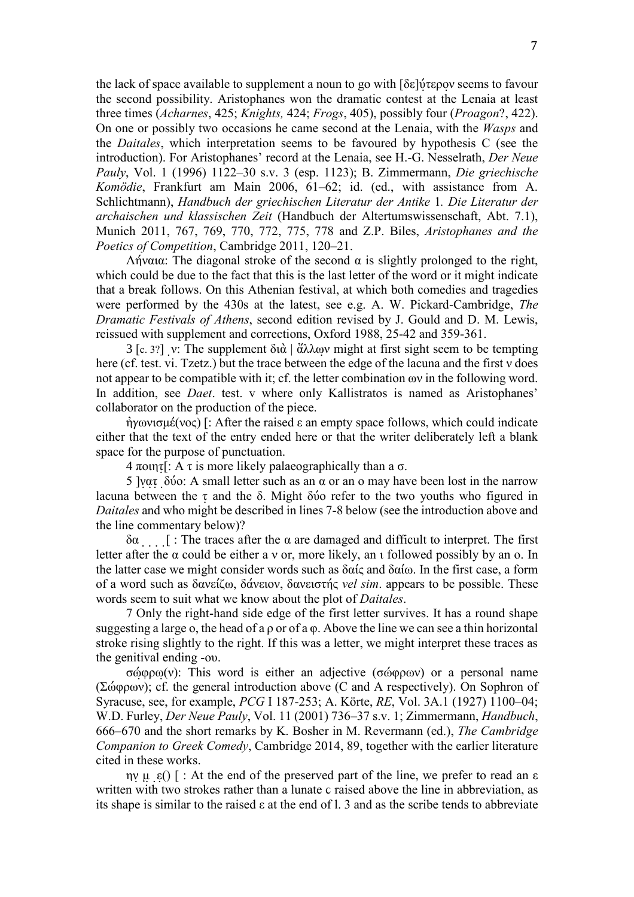the lack of space available to supplement a noun to go with  $\delta \varepsilon$ |  $\psi$ τερον seems to favour the second possibility. Aristophanes won the dramatic contest at the Lenaia at least three times (*Acharnes*, 425; *Knights,* 424; *Frogs*, 405), possibly four (*Proagon*?, 422). On one or possibly two occasions he came second at the Lenaia, with the *Wasps* and the *Daitales*, which interpretation seems to be favoured by hypothesis C (see the introduction). For Aristophanes' record at the Lenaia, see H.-G. Nesselrath, *Der Neue Pauly*, Vol. 1 (1996) 1122–30 s.v. 3 (esp. 1123); B. Zimmermann, *Die griechische Komˆdie*, Frankfurt am Main 2006, 61–62; id. (ed., with assistance from A. Schlichtmann), *Handbuch der griechischen Literatur der Antike* 1*. Die Literatur der archaischen und klassischen Zeit* (Handbuch der Altertumswissenschaft, Abt. 7.1), Munich 2011, 767, 769, 770, 772, 775, 778 and Z.P. Biles, *Aristophanes and the Poetics of Competition*, Cambridge 2011, 120–21.

 $Λήναια$ : The diagonal stroke of the second  $α$  is slightly prolonged to the right, which could be due to the fact that this is the last letter of the word or it might indicate that a break follows. On this Athenian festival, at which both comedies and tragedies were performed by the 430s at the latest, see e.g. A. W. Pickard-Cambridge, *The Dramatic Festivals of Athens*, second edition revised by J. Gould and D. M. Lewis, reissued with supplement and corrections, Oxford 1988, 25-42 and 359-361.

3 [c. 3?] v: The supplement  $\delta t d \dot{\alpha}$  |  $\dot{\alpha} \lambda \lambda \omega v$  might at first sight seem to be tempting here (cf. test. vi. Tzetz.) but the trace between the edge of the lacuna and the first  $\nu$  does not appear to be compatible with it; cf. the letter combination  $\omega v$  in the following word. In addition, see *Daet*. test. v where only Kallistratos is named as Aristophanes' collaborator on the production of the piece.

 $\eta$   $\gamma$   $\omega$  $\upsilon$   $\upsilon$   $\upsilon$   $\upsilon$  =  $\upsilon$  and  $\upsilon$  an empty space follows, which could indicate either that the text of the entry ended here or that the writer deliberately left a blank space for the purpose of punctuation.

 $4 \pi$ οιητ[: A τ is more likely palaeographically than a σ.

5 ]νατ δύο: A small letter such as an α or an o may have been lost in the narrow lacuna between the  $\tau$  and the  $\delta$ . Might  $\delta$  *i* and the two youths who figured in *Daitales* and who might be described in lines 7-8 below (see the introduction above and the line commentary below)?

 $\delta \alpha$  . [ : The traces after the  $\alpha$  are damaged and difficult to interpret. The first letter after the  $\alpha$  could be either a v or, more likely, an  $\iota$  followed possibly by an  $\iota$ . In the latter case we might consider words such as  $\delta \alpha i \varsigma$  and  $\delta \alpha i \omega$ . In the first case, a form of a word such as δανείζω, δάνειον, δανειστής *vel sim*. appears to be possible. These words seem to suit what we know about the plot of *Daitales*.

7 Only the right-hand side edge of the first letter survives. It has a round shape suggesting a large o, the head of a  $\rho$  or of a  $\varphi$ . Above the line we can see a thin horizontal stroke rising slightly to the right. If this was a letter, we might interpret these traces as the genitival ending -ov.

 $\sigma \omega$  $\omega$ (v): This word is either an adjective ( $\sigma \omega$  $\omega$  $\omega$ ) or a personal name (Σώφρων); cf. the general introduction above (C and A respectively). On Sophron of Syracuse, see, for example, *PCG* I 187-253; A. Kˆrte, *RE*, Vol. 3A.1 (1927) 1100–04; W.D. Furley, *Der Neue Pauly*, Vol. 11 (2001) 736–37 s.v. 1; Zimmermann, *Handbuch*, 666–670 and the short remarks by K. Bosher in M. Revermann (ed.), *The Cambridge Companion to Greek Comedy*, Cambridge 2014, 89, together with the earlier literature cited in these works.

 $\eta v \mu \varepsilon$ () [ : At the end of the preserved part of the line, we prefer to read an  $\varepsilon$ written with two strokes rather than a lunate c raised above the line in abbreviation, as its shape is similar to the raised  $\varepsilon$  at the end of l. 3 and as the scribe tends to abbreviate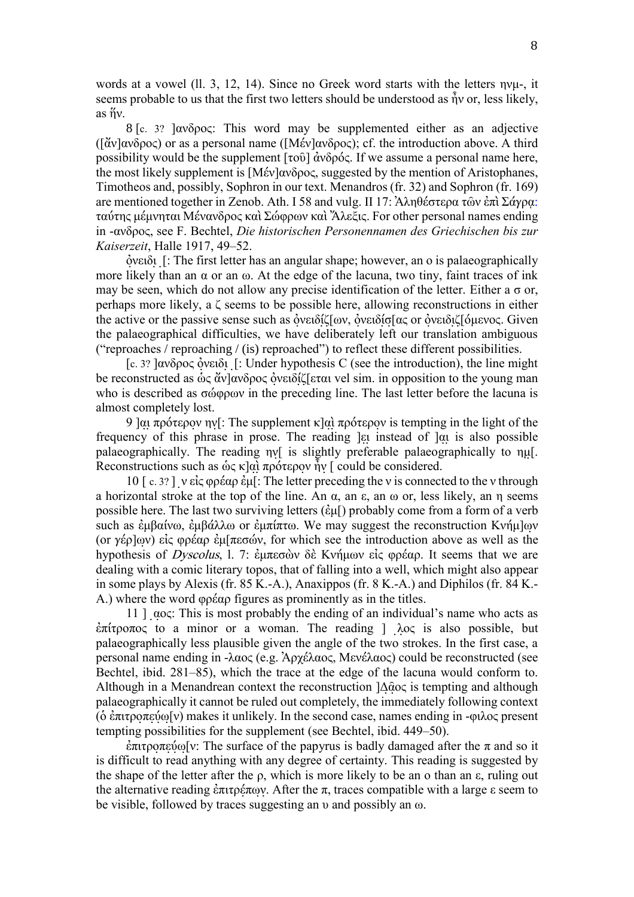words at a vowel (ll. 3, 12, 14). Since no Greek word starts with the letters  $\eta \nu \mu$ -, it seems probable to us that the first two letters should be understood as  $\hat{\eta}$  or, less likely,  $as  $\tilde{h}v$ .$ 

8 [c. 3? ]ανδρος: This word may be supplemented either as an adjective ( $[αν]ανδρος$ ) or as a personal name ( $[Mεν]ανδρος$ ); cf. the introduction above. A third possibility would be the supplement  $[τoô]$  ἀνδρός. If we assume a personal name here, the most likely supplement is  $[M \circ \phi \circ \phi]$  and  $\phi$ , suggested by the mention of Aristophanes, Timotheos and, possibly, Sophron in our text. Menandros (fr. 32) and Sophron (fr. 169) are mentioned together in Zenob. Ath. I 58 and vulg. II 17: Αληθέστερα τῶν ἐπὶ Σάγρα: ταύτης μέμνηται Μένανδρος καὶ Σώφρων καὶ Ἄλεξις. For other personal names ending in -ανδρος, see F. Bechtel, *Die historischen Personennamen des Griechischen bis zur Kaiserzeit*, Halle 1917, 49–52.

 $\delta$ νειδι [: The first letter has an angular shape; however, an o is palaeographically more likely than an  $\alpha$  or an  $\omega$ . At the edge of the lacuna, two tiny, faint traces of ink may be seen, which do not allow any precise identification of the letter. Either a  $\sigma$  or, perhaps more likely, a  $\zeta$  seems to be possible here, allowing reconstructions in either the active or the passive sense such as ὀνειδίζ[ων, ὀνειδίσ[ας or ὀνειδιζ[όμενος. Given the palaeographical difficulties, we have deliberately left our translation ambiguous ("reproaches / reproaching / (is) reproached") to reflect these different possibilities.

[c. 3? ] $\alpha \delta \rho \circ \alpha \delta$  over  $\delta$  [: Under hypothesis C (see the introduction), the line might be reconstructed as ως ἄν]ανδρος ὀνειδίζ[εται vel sim. in opposition to the young man who is described as  $\sigma\omega$  $\varphi\varphi\omega$  in the preceding line. The last letter before the lacuna is almost completely lost.

9 ]αι πρότερον ην[: The supplement κ]αὶ πρότερον is tempting in the light of the frequency of this phrase in prose. The reading  $\vert$  at instead of  $\vert$  at is also possible palaeographically. The reading  $\eta v$  is slightly preferable palaeographically to  $\eta \mu$ . Reconstructions such as  $\dot{\omega} \zeta \kappa | \alpha \rangle$   $\bar{\alpha} \gamma$  apótepov  $\hat{\eta} \nu$  [ could be considered.

10 [c. 3? ] ν είς φρέαρ έμ[: The letter preceding the v is connected to the v through a horizontal stroke at the top of the line. An  $\alpha$ , an  $\varepsilon$ , an  $\omega$  or, less likely, an  $\eta$  seems possible here. The last two surviving letters  $(\hat{\varepsilon}\mu\hat{\varepsilon})$  probably come from a form of a verb such as  $\dot{\epsilon} \mu \beta \dot{\alpha} \lambda \dot{\alpha}$  or  $\dot{\epsilon} \mu \pi \dot{\alpha}$ . We may suggest the reconstruction Kvή $\mu$ ] $\omega$ (or  $\gamma \epsilon \rho | \omega \rangle$ ) είς φρέαρ έμ[πεσών, for which see the introduction above as well as the hypothesis of Dyscolus, l. 7: έμπεσὼν δὲ Κνήμων εἰς φρέαρ. It seems that we are dealing with a comic literary topos, that of falling into a well, which might also appear in some plays by Alexis (fr. 85 K.-A.), Anaxippos (fr. 8 K.-A.) and Diphilos (fr. 84 K.- A.) where the word  $\varphi \varphi \varphi$  figures as prominently as in the titles.

11 ]  $\alpha$   $\alpha$ ; This is most probably the ending of an individual's name who acts as  $\frac{\partial \pi}{\partial x}$  to a minor or a woman. The reading ]  $\lambda$  oς is also possible, but palaeographically less plausible given the angle of the two strokes. In the first case, a personal name ending in -λαος (e.g. Ἀρχέλαος, Μενέλαος) could be reconstructed (see Bechtel, ibid. 281–85), which the trace at the edge of the lacuna would conform to. Although in a Menandrean context the reconstruction  $|\Delta \hat{\alpha} \circ \alpha|$  is tempting and although palaeographically it cannot be ruled out completely, the immediately following context (δ ἐπιτροπεύω[ν) makes it unlikely. In the second case, names ending in -φιλος present tempting possibilities for the supplement (see Bechtel, ibid. 449–50).

 $\dot{\epsilon}$ πιτροπεύω[v: The surface of the papyrus is badly damaged after the π and so it is difficult to read anything with any degree of certainty. This reading is suggested by the shape of the letter after the  $\rho$ , which is more likely to be an  $\alpha$  than an  $\varepsilon$ , ruling out the alternative reading ἐπιτρέπων. After the π, traces compatible with a large ε seem to be visible, followed by traces suggesting an  $\nu$  and possibly an  $\omega$ .